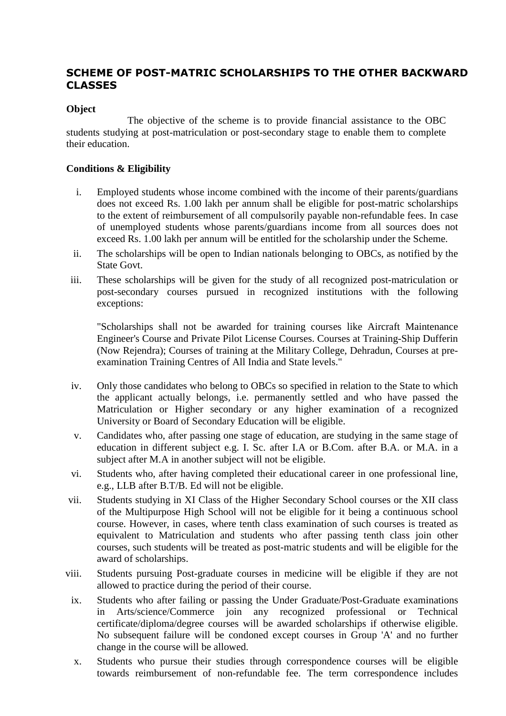# **SCHEME OF POST-MATRIC SCHOLARSHIPS TO THE OTHER BACKWARD CLASSES**

# **Object**

The objective of the scheme is to provide financial assistance to the OBC students studying at post-matriculation or post-secondary stage to enable them to complete their education.

# **Conditions & Eligibility**

- i. Employed students whose income combined with the income of their parents/guardians does not exceed Rs. 1.00 lakh per annum shall be eligible for post-matric scholarships to the extent of reimbursement of all compulsorily payable non-refundable fees. In case of unemployed students whose parents/guardians income from all sources does not exceed Rs. 1.00 lakh per annum will be entitled for the scholarship under the Scheme.
- ii. The scholarships will be open to Indian nationals belonging to OBCs, as notified by the State Govt.
- iii. These scholarships will be given for the study of all recognized post-matriculation or post-secondary courses pursued in recognized institutions with the following exceptions:

"Scholarships shall not be awarded for training courses like Aircraft Maintenance Engineer's Course and Private Pilot License Courses. Courses at Training-Ship Dufferin (Now Rejendra); Courses of training at the Military College, Dehradun, Courses at preexamination Training Centres of All India and State levels."

- iv. Only those candidates who belong to OBCs so specified in relation to the State to which the applicant actually belongs, i.e. permanently settled and who have passed the Matriculation or Higher secondary or any higher examination of a recognized University or Board of Secondary Education will be eligible.
- v. Candidates who, after passing one stage of education, are studying in the same stage of education in different subject e.g. I. Sc. after I.A or B.Com. after B.A. or M.A. in a subject after M.A in another subject will not be eligible.
- vi. Students who, after having completed their educational career in one professional line, e.g., LLB after B.T/B. Ed will not be eligible.
- vii. Students studying in XI Class of the Higher Secondary School courses or the XII class of the Multipurpose High School will not be eligible for it being a continuous school course. However, in cases, where tenth class examination of such courses is treated as equivalent to Matriculation and students who after passing tenth class join other courses, such students will be treated as post-matric students and will be eligible for the award of scholarships.
- viii. Students pursuing Post-graduate courses in medicine will be eligible if they are not allowed to practice during the period of their course.
- ix. Students who after failing or passing the Under Graduate/Post-Graduate examinations in Arts/science/Commerce join any recognized professional or Technical certificate/diploma/degree courses will be awarded scholarships if otherwise eligible. No subsequent failure will be condoned except courses in Group 'A' and no further change in the course will be allowed.
- x. Students who pursue their studies through correspondence courses will be eligible towards reimbursement of non-refundable fee. The term correspondence includes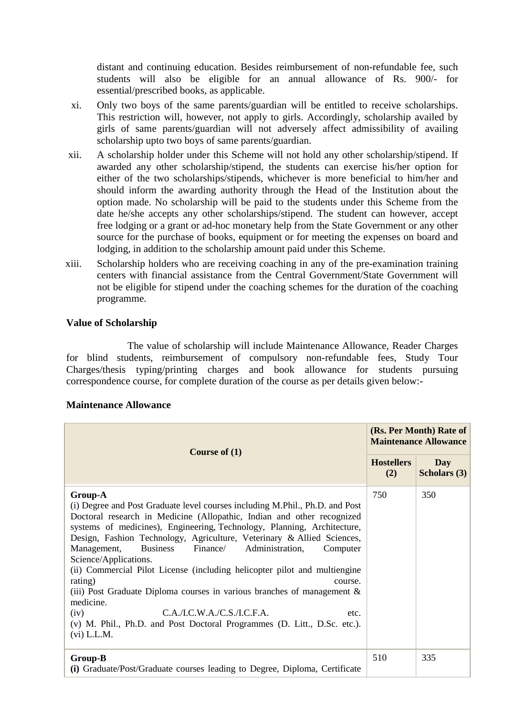distant and continuing education. Besides reimbursement of non-refundable fee, such students will also be eligible for an annual allowance of Rs. 900/- for essential/prescribed books, as applicable.

- xi. Only two boys of the same parents/guardian will be entitled to receive scholarships. This restriction will, however, not apply to girls. Accordingly, scholarship availed by girls of same parents/guardian will not adversely affect admissibility of availing scholarship upto two boys of same parents/guardian.
- xii. A scholarship holder under this Scheme will not hold any other scholarship/stipend. If awarded any other scholarship/stipend, the students can exercise his/her option for either of the two scholarships/stipends, whichever is more beneficial to him/her and should inform the awarding authority through the Head of the Institution about the option made. No scholarship will be paid to the students under this Scheme from the date he/she accepts any other scholarships/stipend. The student can however, accept free lodging or a grant or ad-hoc monetary help from the State Government or any other source for the purchase of books, equipment or for meeting the expenses on board and lodging, in addition to the scholarship amount paid under this Scheme.
- xiii. Scholarship holders who are receiving coaching in any of the pre-examination training centers with financial assistance from the Central Government/State Government will not be eligible for stipend under the coaching schemes for the duration of the coaching programme.

## **Value of Scholarship**

The value of scholarship will include Maintenance Allowance, Reader Charges for blind students, reimbursement of compulsory non-refundable fees, Study Tour Charges/thesis typing/printing charges and book allowance for students pursuing correspondence course, for complete duration of the course as per details given below:-

| Course of $(1)$                                                                                                                                                                                                                                                                                                                                                                                                                                                                                                                                                                                                                                                                                                                                                             | (Rs. Per Month) Rate of<br><b>Maintenance Allowance</b> |                            |
|-----------------------------------------------------------------------------------------------------------------------------------------------------------------------------------------------------------------------------------------------------------------------------------------------------------------------------------------------------------------------------------------------------------------------------------------------------------------------------------------------------------------------------------------------------------------------------------------------------------------------------------------------------------------------------------------------------------------------------------------------------------------------------|---------------------------------------------------------|----------------------------|
|                                                                                                                                                                                                                                                                                                                                                                                                                                                                                                                                                                                                                                                                                                                                                                             | <b>Hostellers</b><br>(2)                                | Day<br><b>Scholars (3)</b> |
| <b>Group-A</b><br>(i) Degree and Post Graduate level courses including M.Phil., Ph.D. and Post<br>Doctoral research in Medicine (Allopathic, Indian and other recognized<br>systems of medicines), Engineering, Technology, Planning, Architecture,<br>Design, Fashion Technology, Agriculture, Veterinary & Allied Sciences,<br>Finance/<br>Management,<br><b>Business</b><br>Administration,<br>Computer<br>Science/Applications.<br>(ii) Commercial Pilot License (including helicopter pilot and multiengine<br>rating)<br>course.<br>(iii) Post Graduate Diploma courses in various branches of management $\&$<br>medicine.<br>C.A.I.C.W.A./C.S.I.C.F.A.<br>(iv)<br>etc.<br>(v) M. Phil., Ph.D. and Post Doctoral Programmes (D. Litt., D.Sc. etc.).<br>$(vi)$ L.L.M. | 750                                                     | 350                        |
| Group-B<br>(i) Graduate/Post/Graduate courses leading to Degree, Diploma, Certificate                                                                                                                                                                                                                                                                                                                                                                                                                                                                                                                                                                                                                                                                                       | 510                                                     | 335                        |

# **Maintenance Allowance**